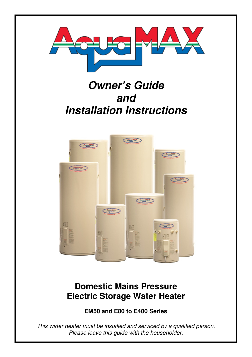

# **Owner's Guide and Installation Instructions**



## **Domestic Mains Pressure Electric Storage Water Heater**

**EM50 and E80 to E400 Series** 

This water heater must be installed and serviced by a qualified person. Please leave this guide with the householder.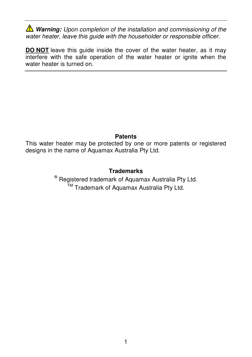*A* Warning: Upon completion of the installation and commissioning of the water heater, leave this quide with the householder or responsible officer.

**DO NOT** leave this quide inside the cover of the water heater, as it may interfere with the safe operation of the water heater or ignite when the water heater is turned on.

#### **Patents**

This water heater may be protected by one or more patents or registered designs in the name of Aquamax Australia Pty Ltd.

## **Trademarks**

® Registered trademark of Aquamax Australia Pty Ltd. <sup>™</sup> Trademark of Aquamax Australia Pty Ltd.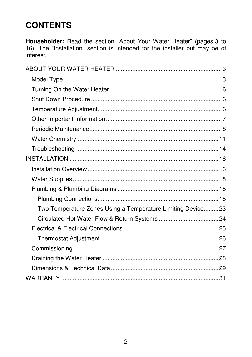# **CONTENTS**

Householder: Read the section "About Your Water Heater" (pages 3 to 16). The "Installation" section is intended for the installer but may be of interest.

| Two Temperature Zones Using a Temperature Limiting Device 23 |  |
|--------------------------------------------------------------|--|
|                                                              |  |
|                                                              |  |
|                                                              |  |
|                                                              |  |
|                                                              |  |
|                                                              |  |
|                                                              |  |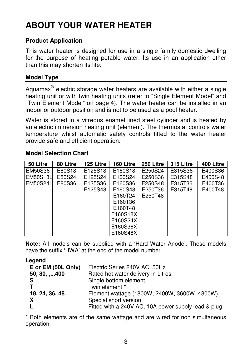# **ABOUT YOUR WATER HEATER**

## **Product Application**

This water heater is designed for use in a single family domestic dwelling for the purpose of heating potable water. Its use in an application other than this may shorten its life.

## **Model Type**

Aquamax $^{\circledast}$  electric storage water heaters are available with either a single heating unit or with twin heating units (refer to "Single Element Model" and "Twin Element Model" on page 4). The water heater can be installed in an indoor or outdoor position and is not to be used as a pool heater.

Water is stored in a vitreous enamel lined steel cylinder and is heated by an electric immersion heating unit (element). The thermostat controls water temperature whilst automatic safety controls fitted to the water heater provide safe and efficient operation.

#### **Model Selection Chart**

| 50 Litre | 80 Litre | 125 Litre | 160 Litre | 250 Litre | 315 Litre | 400 Litre |
|----------|----------|-----------|-----------|-----------|-----------|-----------|
| EM50S36  | E80S18   | E125S18   | E160S18   | E250S24   | E315S36   | E400S36   |
| EM50S18L | E80S24   | E125S24   | E160S24   | E250S36   | E315S48   | E400S48   |
| EM50S24L | E80S36   | E125S36   | E160S36   | E250S48   | E315T36   | E400T36   |
|          |          | E125S48   | E160S48   | E250T36   | E315T48   | E400T48   |
|          |          |           | E160T24   | E250T48   |           |           |
|          |          |           | E160T36   |           |           |           |
|          |          |           | E160T48   |           |           |           |
|          |          |           | E160S18X  |           |           |           |
|          |          |           | E160S24X  |           |           |           |
|          |          |           | E160S36X  |           |           |           |
|          |          |           | E160S48X  |           |           |           |

**Note:** All models can be supplied with a 'Hard Water Anode'. These models have the suffix 'HWA' at the end of the model number.

#### **Legend**

| E or EM (50L Only)   | Electric Series 240V AC, 50Hz                       |
|----------------------|-----------------------------------------------------|
| $50, 80, \ldots$ 400 | Rated hot water delivery in Litres                  |
| <b>S</b>             | Single bottom element                               |
|                      | Twin element *                                      |
| 18, 24, 36, 48       | Element wattage (1800W, 2400W, 3600W, 4800W)        |
| X                    | Special short version                               |
| L                    | Fitted with a 240V AC, 10A power supply lead & plug |

\* Both elements are of the same wattage and are wired for non simultaneous operation.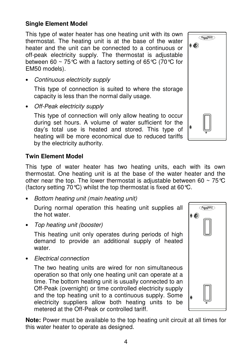## **Single Element Model**

This type of water heater has one heating unit with its own thermostat. The heating unit is at the base of the water heater and the unit can be connected to a continuous or off-peak electricity supply. The thermostat is adjustable between 60  $\sim$  75 °C with a factory setting of 65 °C (70 °C for EM50 models).

• Continuous electricity supply

This type of connection is suited to where the storage capacity is less than the normal daily usage.

• Off-Peak electricity supply

This type of connection will only allow heating to occur during set hours. A volume of water sufficient for the day's total use is heated and stored. This type of heating will be more economical due to reduced tariffs by the electricity authority.

## **Twin Element Model**

This type of water heater has two heating units, each with its own thermostat. One heating unit is at the base of the water heater and the other near the top. The lower thermostat is adjustable between 60  $\sim$  75 °C (factory setting 70 °C) whilst the top thermostat is fixed at 60 °C.

• Bottom heating unit (main heating unit)

During normal operation this heating unit supplies all the hot water.

• Top heating unit (booster)

This heating unit only operates during periods of high demand to provide an additional supply of heated water

• Electrical connection

The two heating units are wired for non simultaneous operation so that only one heating unit can operate at a time. The bottom heating unit is usually connected to an Off-Peak (overnight) or time controlled electricity supply and the top heating unit to a continuous supply. Some electricity suppliers allow both heating units to be metered at the Off-Peak or controlled tariff.

**Note:** Power must be available to the top heating unit circuit at all times for this water heater to operate as designed.



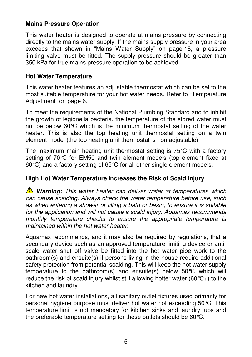## **Mains Pressure Operation**

This water heater is designed to operate at mains pressure by connecting directly to the mains water supply. If the mains supply pressure in your area exceeds that shown in "Mains Water Supply" on page 18, a pressure limiting valve must be fitted. The supply pressure should be greater than 350 kPa for true mains pressure operation to be achieved.

## **Hot Water Temperature**

This water heater features an adjustable thermostat which can be set to the most suitable temperature for your hot water needs. Refer to "Temperature Adiustment" on page 6.

To meet the requirements of the National Plumbing Standard and to inhibit the growth of legionella bacteria, the temperature of the stored water must not be below 60°C which is the minimum thermostat setting of the water heater. This is also the top heating unit thermostat setting on a twin element model (the top heating unit thermostat is non adjustable).

The maximum main heating unit thermostat setting is  $75^{\circ}$ C with a factory setting of 70°C for EM50 and twin element models (top element fixed at 60°C) and a factory setting of 65°C for all other single element models.

## **High Hot Water Temperature Increases the Risk of Scald Injury**

**Warning:** This water heater can deliver water at temperatures which can cause scalding. Always check the water temperature before use, such as when entering a shower or filling a bath or basin, to ensure it is suitable for the application and will not cause a scald injury. Aquamax recommends monthly temperature checks to ensure the appropriate temperature is maintained within the hot water heater.

Aquamax recommends, and it may also be required by regulations, that a secondary device such as an approved temperature limiting device or antiscald water shut off valve be fitted into the hot water pipe work to the bathroom(s) and ensuite(s) if persons living in the house require additional safety protection from potential scalding. This will keep the hot water supply temperature to the bathroom(s) and ensuite(s) below 50°C which will reduce the risk of scald injury whilst still allowing hotter water (60 $C<sub>+</sub>$ ) to the kitchen and laundry.

For new hot water installations, all sanitary outlet fixtures used primarily for personal hygiene purpose must deliver hot water not exceeding 50°C. This temperature limit is not mandatory for kitchen sinks and laundry tubs and the preferable temperature setting for these outlets should be 60°C.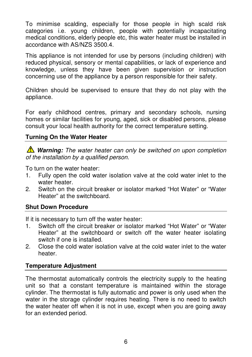To minimise scalding, especially for those people in high scald risk categories i.e. young children, people with potentially incapacitating medical conditions, elderly people etc, this water heater must be installed in accordance with AS/NZS 3500.4.

This appliance is not intended for use by persons (including children) with reduced physical, sensory or mental capabilities, or lack of experience and knowledge, unless they have been given supervision or instruction concerning use of the appliance by a person responsible for their safety.

Children should be supervised to ensure that they do not play with the appliance.

For early childhood centres, primary and secondary schools, nursing homes or similar facilities for young, aged, sick or disabled persons, please consult your local health authority for the correct temperature setting.

## **Turning On the Water Heater**

**Warning:** The water heater can only be switched on upon completion of the installation by a qualified person.

To turn on the water heater:

- 1. Fully open the cold water isolation valve at the cold water inlet to the water heater.
- 2. Switch on the circuit breaker or isolator marked "Hot Water" or "Water Heater" at the switchboard.

#### **Shut Down Procedure**

If it is necessary to turn off the water heater:

- 1. Switch off the circuit breaker or isolator marked "Hot Water" or "Water Heater" at the switchboard or switch off the water heater isolating switch if one is installed.
- 2. Close the cold water isolation valve at the cold water inlet to the water heater.

#### **Temperature Adjustment**

The thermostat automatically controls the electricity supply to the heating unit so that a constant temperature is maintained within the storage cylinder. The thermostat is fully automatic and power is only used when the water in the storage cylinder requires heating. There is no need to switch the water heater off when it is not in use, except when you are going away for an extended period.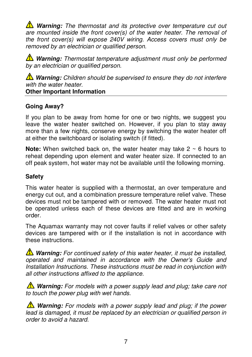**A** Warning: The thermostat and its protective over temperature cut out are mounted inside the front cover(s) of the water heater. The removal of the front cover(s) will expose 240V wiring. Access covers must only be removed by an electrician or qualified person.

**Warning:** Thermostat temperature adjustment must only be performed by an electrician or qualified person.

**A** Warning: Children should be supervised to ensure they do not interfere with the water heater **Other Important Information** 

## **Going Away?**

If you plan to be away from home for one or two nights, we suggest you leave the water heater switched on. However, if you plan to stay away more than a few nights, conserve energy by switching the water heater off at either the switchboard or isolating switch (if fitted).

**Note:** When switched back on, the water heater may take 2 ~ 6 hours to reheat depending upon element and water heater size. If connected to an off peak system, hot water may not be available until the following morning.

## **Safety**

This water heater is supplied with a thermostat, an over temperature and energy cut out, and a combination pressure temperature relief valve. These devices must not be tampered with or removed. The water heater must not be operated unless each of these devices are fitted and are in working order.

The Aquamax warranty may not cover faults if relief valves or other safety devices are tampered with or if the installation is not in accordance with these instructions.

**Warning:** For continued safety of this water heater, it must be installed, operated and maintained in accordance with the Owner's Guide and Installation Instructions. These instructions must be read in conjunction with all other instructions affixed to the appliance.

**A** Warning: For models with a power supply lead and plug; take care not to touch the power plug with wet hands.

**Warning:** For models with a power supply lead and plug; if the power lead is damaged, it must be replaced by an electrician or qualified person in order to avoid a hazard.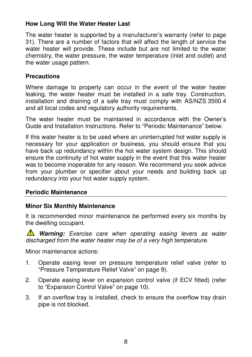## **How Long Will the Water Heater Last**

The water heater is supported by a manufacturer's warranty (refer to page 31). There are a number of factors that will affect the length of service the water heater will provide. These include but are not limited to the water chemistry, the water pressure, the water temperature (inlet and outlet) and the water usage pattern.

#### **Precautions**

Where damage to property can occur in the event of the water heater leaking, the water heater must be installed in a safe tray. Construction, installation and draining of a safe tray must comply with AS/NZS 3500.4 and all local codes and regulatory authority requirements.

The water heater must be maintained in accordance with the Owner's Guide and Installation Instructions. Refer to "Periodic Maintenance" below.

If this water heater is to be used where an uninterrupted hot water supply is necessary for your application or business, you should ensure that you have back up redundancy within the hot water system design. This should ensure the continuity of hot water supply in the event that this water heater was to become inoperable for any reason. We recommend you seek advice from your plumber or specifier about your needs and building back up redundancy into your hot water supply system.

#### **Periodic Maintenance**

#### **Minor Six Monthly Maintenance**

It is recommended minor maintenance be performed every six months by the dwelling occupant.

**A** Warning: Exercise care when operating easing levers as water discharged from the water heater may be of a very high temperature.

Minor maintenance actions:

- 1. Operate easing lever on pressure temperature relief valve (refer to "Pressure Temperature Relief Valve" on page 9).
- 2. Operate easing lever on expansion control valve (if ECV fitted) (refer to "Expansion Control Valve" on page 10).
- 3. If an overflow tray is installed, check to ensure the overflow tray drain pipe is not blocked.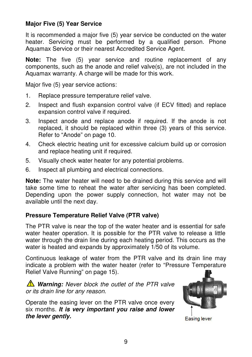## **Major Five (5) Year Service**

It is recommended a major five (5) year service be conducted on the water heater. Servicing must be performed by a qualified person. Phone Aquamax Service or their nearest Accredited Service Agent.

**Note:** The five (5) year service and routine replacement of any components, such as the anode and relief valve(s), are not included in the Aquamax warranty. A charge will be made for this work.

Major five (5) year service actions:

- 1. Replace pressure temperature relief valve.
- 2. Inspect and flush expansion control valve (if ECV fitted) and replace expansion control valve if required.
- 3. Inspect anode and replace anode if required. If the anode is not replaced, it should be replaced within three (3) years of this service. Refer to "Anode" on page 10.
- 4. Check electric heating unit for excessive calcium build up or corrosion and replace heating unit if required.
- 5. Visually check water heater for any potential problems.
- 6. Inspect all plumbing and electrical connections.

**Note:** The water heater will need to be drained during this service and will take some time to reheat the water after servicing has been completed. Depending upon the power supply connection, hot water may not be available until the next day.

## **Pressure Temperature Relief Valve (PTR valve)**

The PTR valve is near the top of the water heater and is essential for safe water heater operation. It is possible for the PTR valve to release a little water through the drain line during each heating period. This occurs as the water is heated and expands by approximately 1/50 of its volume.

Continuous leakage of water from the PTR valve and its drain line may indicate a problem with the water heater (refer to "Pressure Temperature Relief Valve Running" on page 15).

*M* Warning: Never block the outlet of the PTR valve or its drain line for any reason.

Operate the easing lever on the PTR valve once every six months. **It is very important you raise and lower the lever gently.**



**Easing lever**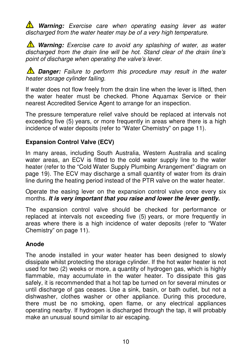*N* Warning: Exercise care when operating easing lever as water discharged from the water heater may be of a very high temperature.

*N* Warning: Exercise care to avoid any splashing of water, as water discharged from the drain line will be hot. Stand clear of the drain line's point of discharge when operating the valve's lever.

**1** Danger: Failure to perform this procedure may result in the water heater storage cylinder failing.

If water does not flow freely from the drain line when the lever is lifted, then the water heater must be checked. Phone Aquamax Service or their nearest Accredited Service Agent to arrange for an inspection.

The pressure temperature relief valve should be replaced at intervals not exceeding five (5) years, or more frequently in areas where there is a high incidence of water deposits (refer to "Water Chemistry" on page 11).

## **Expansion Control Valve (ECV)**

In many areas, including South Australia, Western Australia and scaling water areas, an ECV is fitted to the cold water supply line to the water heater (refer to the "Cold Water Supply Plumbing Arrangement" diagram on page 19). The ECV may discharge a small quantity of water from its drain line during the heating period instead of the PTR valve on the water heater.

Operate the easing lever on the expansion control valve once every six months. **It is very important that you raise and lower the lever gently.**

The expansion control valve should be checked for performance or replaced at intervals not exceeding five (5) years, or more frequently in areas where there is a high incidence of water deposits (refer to "Water Chemistry" on page 11).

## **Anode**

The anode installed in your water heater has been designed to slowly dissipate whilst protecting the storage cylinder. If the hot water heater is not used for two (2) weeks or more, a quantity of hydrogen gas, which is highly flammable, may accumulate in the water heater. To dissipate this gas safely, it is recommended that a hot tap be turned on for several minutes or until discharge of gas ceases. Use a sink, basin, or bath outlet, but not a dishwasher, clothes washer or other appliance. During this procedure, there must be no smoking, open flame, or any electrical appliances operating nearby. If hydrogen is discharged through the tap, it will probably make an unusual sound similar to air escaping.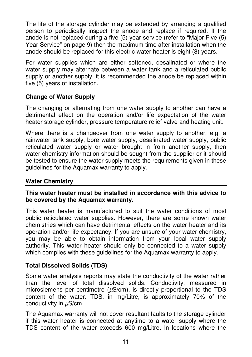The life of the storage cylinder may be extended by arranging a qualified person to periodically inspect the anode and replace if required. If the anode is not replaced during a five (5) year service (refer to "Major Five (5) Year Service" on page 9) then the maximum time after installation when the anode should be replaced for this electric water heater is eight (8) years.

For water supplies which are either softened, desalinated or where the water supply may alternate between a water tank and a reticulated public supply or another supply, it is recommended the anode be replaced within five (5) years of installation.

## **Change of Water Supply**

The changing or alternating from one water supply to another can have a detrimental effect on the operation and/or life expectation of the water heater storage cylinder, pressure temperature relief valve and heating unit.

Where there is a changeover from one water supply to another, e.g. a rainwater tank supply, bore water supply, desalinated water supply, public reticulated water supply or water brought in from another supply, then water chemistry information should be sought from the supplier or it should be tested to ensure the water supply meets the requirements given in these guidelines for the Aquamax warranty to apply.

## **Water Chemistry**

#### **This water heater must be installed in accordance with this advice to be covered by the Aquamax warranty.**

This water heater is manufactured to suit the water conditions of most public reticulated water supplies. However, there are some known water chemistries which can have detrimental effects on the water heater and its operation and/or life expectancy. If you are unsure of your water chemistry, you may be able to obtain information from your local water supply authority. This water heater should only be connected to a water supply which complies with these guidelines for the Aquamax warranty to apply.

## **Total Dissolved Solids (TDS)**

Some water analysis reports may state the conductivity of the water rather than the level of total dissolved solids. Conductivity, measured in microsiemens per centimetre  $(\mu S/cm)$ , is directly proportional to the TDS content of the water. TDS, in mg/Litre, is approximately 70% of the conductivity in  $\mu$ S/cm.

The Aquamax warranty will not cover resultant faults to the storage cylinder if this water heater is connected at anytime to a water supply where the TDS content of the water exceeds 600 mg/Litre. In locations where the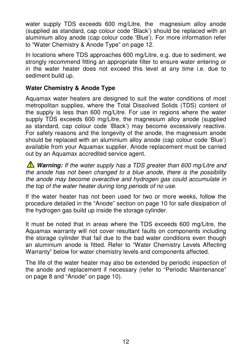water supply TDS exceeds 600 mg/Litre, the magnesium alloy anode (supplied as standard, cap colour code 'Black') should be replaced with an aluminium alloy anode (cap colour code 'Blue'). For more information refer to "Water Chemistry & Anode Type" on page 12.

In locations where TDS approaches 600 mg/Litre, e.g. due to sediment, we strongly recommend fitting an appropriate filter to ensure water entering or in the water heater does not exceed this level at any time i.e. due to sediment build up.

## **Water Chemistry & Anode Type**

Aquamax water heaters are designed to suit the water conditions of most metropolitan supplies, where the Total Dissolved Solids (TDS) content of the supply is less than 600 mg/Litre. For use in regions where the water supply TDS exceeds 600 mg/Litre, the magnesium alloy anode (supplied as standard, cap colour code 'Black') may become excessively reactive. For safety reasons and the longevity of the anode, the magnesium anode should be replaced with an aluminium alloy anode (cap colour code 'Blue') available from your Aquamax supplier. Anode replacement must be carried out by an Aquamax accredited service agent.

*N* Warning: If the water supply has a TDS greater than 600 mg/Litre and the anode has not been changed to a blue anode, there is the possibility the anode may become overactive and hydrogen gas could accumulate in the top of the water heater during long periods of no use.

If the water heater has not been used for two or more weeks, follow the procedure detailed in the "Anode" section on page 10 for safe dissipation of the hydrogen gas build up inside the storage cylinder.

It must be noted that in areas where the TDS exceeds 600 mg/Litre, the Aquamax warranty will not cover resultant faults on components including the storage cylinder that fail due to the bad water conditions even though an aluminium anode is fitted. Refer to "Water Chemistry Levels Affecting Warranty" below for water chemistry levels and components affected.

The life of the water heater may also be extended by periodic inspection of the anode and replacement if necessary (refer to "Periodic Maintenance" on page 8 and "Anode" on page 10).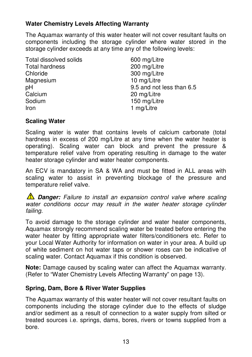## **Water Chemistry Levels Affecting Warranty**

The Aquamax warranty of this water heater will not cover resultant faults on components including the storage cylinder where water stored in the storage cylinder exceeds at any time any of the following levels:

Total dissolved solids 600 mg/Litre Total hardness 200 mg/Litre Chloride 300 mg/Litre Magnesium 10 mg/Litre Calcium 20 mg/Litre Sodium 150 mg/Litre Iron 1 mg/Litre

pH 9.5 and not less than 6.5

## **Scaling Water**

Scaling water is water that contains levels of calcium carbonate (total hardness in excess of 200 mg/Litre at any time when the water heater is operating). Scaling water can block and prevent the pressure & temperature relief valve from operating resulting in damage to the water heater storage cylinder and water heater components.

An ECV is mandatory in SA & WA and must be fitted in ALL areas with scaling water to assist in preventing blockage of the pressure and temperature relief valve.

**1 Danger:** Failure to install an expansion control valve where scaling water conditions occur may result in the water heater storage cylinder failing.

To avoid damage to the storage cylinder and water heater components, Aquamax strongly recommend scaling water be treated before entering the water heater by fitting appropriate water filters/conditioners etc. Refer to your Local Water Authority for information on water in your area. A build up of white sediment on hot water taps or shower roses can be indicative of scaling water. Contact Aquamax if this condition is observed.

**Note:** Damage caused by scaling water can affect the Aquamax warranty. (Refer to "Water Chemistry Levels Affecting Warranty" on page 13).

## **Spring, Dam, Bore & River Water Supplies**

The Aquamax warranty of this water heater will not cover resultant faults on components including the storage cylinder due to the effects of sludge and/or sediment as a result of connection to a water supply from silted or treated sources i.e. springs, dams, bores, rivers or towns supplied from a bore.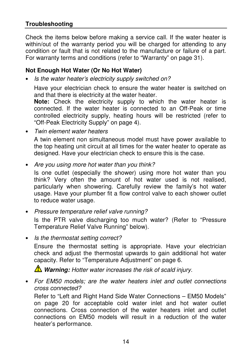## **Troubleshooting**

Check the items below before making a service call. If the water heater is within/out of the warranty period you will be charged for attending to any condition or fault that is not related to the manufacture or failure of a part. For warranty terms and conditions (refer to "Warranty" on page 31).

#### **Not Enough Hot Water (Or No Hot Water)**

• Is the water heater's electricity supply switched on?

Have your electrician check to ensure the water heater is switched on and that there is electricity at the water heater.

**Note:** Check the electricity supply to which the water heater is connected. If the water heater is connected to an Off-Peak or time controlled electricity supply, heating hours will be restricted (refer to "Off-Peak Electricity Supply" on page 4).

• Twin element water heaters

A twin element non simultaneous model must have power available to the top heating unit circuit at all times for the water heater to operate as designed. Have your electrician check to ensure this is the case.

• Are you using more hot water than you think?

Is one outlet (especially the shower) using more hot water than you think? Very often the amount of hot water used is not realised, particularly when showering. Carefully review the family's hot water usage. Have your plumber fit a flow control valve to each shower outlet to reduce water usage.

• Pressure temperature relief valve running?

Is the PTR valve discharging too much water? (Refer to "Pressure Temperature Relief Valve Running" below).

• Is the thermostat setting correct?

Ensure the thermostat setting is appropriate. Have your electrician check and adjust the thermostat upwards to gain additional hot water capacity. Refer to "Temperature Adjustment" on page 6.

*N* Warning: Hotter water increases the risk of scald injury.

• For EM50 models; are the water heaters inlet and outlet connections cross connected?

Refer to "Left and Right Hand Side Water Connections – EM50 Models" on page 20 for acceptable cold water inlet and hot water outlet connections. Cross connection of the water heaters inlet and outlet connections on EM50 models will result in a reduction of the water heater's performance.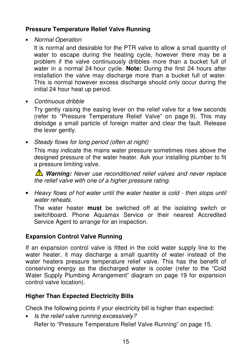## **Pressure Temperature Relief Valve Running**

• Normal Operation

It is normal and desirable for the PTR valve to allow a small quantity of water to escape during the heating cycle, however there may be a problem if the valve continuously dribbles more than a bucket full of water in a normal 24 hour cycle. **Note:** During the first 24 hours after installation the valve may discharge more than a bucket full of water. This is normal however excess discharge should only occur during the initial 24 hour heat up period.

• Continuous dribble

Try gently raising the easing lever on the relief valve for a few seconds (refer to "Pressure Temperature Relief Valve" on page 9). This may dislodge a small particle of foreign matter and clear the fault. Release the lever gently.

• Steady flows for long period (often at night)

This may indicate the mains water pressure sometimes rises above the designed pressure of the water heater. Ask your installing plumber to fit a pressure limiting valve.

*A* Warning: Never use reconditioned relief valves and never replace the relief valve with one of a higher pressure rating.

• Heavy flows of hot water until the water heater is cold - then stops until water reheats

The water heater **must** be switched off at the isolating switch or switchboard. Phone Aquamax Service or their nearest Accredited Service Agent to arrange for an inspection.

## **Expansion Control Valve Running**

If an expansion control valve is fitted in the cold water supply line to the water heater, it may discharge a small quantity of water instead of the water heaters pressure temperature relief valve. This has the benefit of conserving energy as the discharged water is cooler (refer to the "Cold Water Supply Plumbing Arrangement" diagram on page 19 for expansion control valve location).

## **Higher Than Expected Electricity Bills**

Check the following points if your electricity bill is higher than expected:

• Is the relief valve running excessively? Refer to "Pressure Temperature Relief Valve Running" on page 15.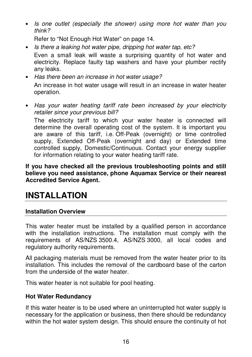• Is one outlet (especially the shower) using more hot water than you think?

Refer to "Not Enough Hot Water" on page 14.

- Is there a leaking hot water pipe, dripping hot water tap, etc? Even a small leak will waste a surprising quantity of hot water and electricity. Replace faulty tap washers and have your plumber rectify any leaks.
- Has there been an increase in hot water usage? An increase in hot water usage will result in an increase in water heater operation.
- Has your water heating tariff rate been increased by your electricity retailer since your previous bill?

The electricity tariff to which your water heater is connected will determine the overall operating cost of the system. It is important you are aware of this tariff, i.e. Off-Peak (overnight) or time controlled supply, Extended Off-Peak (overnight and day) or Extended time controlled supply, Domestic/Continuous. Contact your energy supplier for information relating to your water heating tariff rate.

**If you have checked all the previous troubleshooting points and still believe you need assistance, phone Aquamax Service or their nearest Accredited Service Agent.**

## **INSTALLATION**

## **Installation Overview**

This water heater must be installed by a qualified person in accordance with the installation instructions. The installation must comply with the requirements of AS/NZS 3500.4, AS/NZS 3000, all local codes and regulatory authority requirements.

All packaging materials must be removed from the water heater prior to its installation. This includes the removal of the cardboard base of the carton from the underside of the water heater.

This water heater is not suitable for pool heating.

## **Hot Water Redundancy**

If this water heater is to be used where an uninterrupted hot water supply is necessary for the application or business, then there should be redundancy within the hot water system design. This should ensure the continuity of hot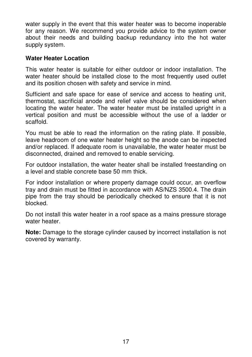water supply in the event that this water heater was to become inoperable for any reason. We recommend you provide advice to the system owner about their needs and building backup redundancy into the hot water supply system.

#### **Water Heater Location**

This water heater is suitable for either outdoor or indoor installation. The water heater should be installed close to the most frequently used outlet and its position chosen with safety and service in mind.

Sufficient and safe space for ease of service and access to heating unit, thermostat, sacrificial anode and relief valve should be considered when locating the water heater. The water heater must be installed upright in a vertical position and must be accessible without the use of a ladder or scaffold.

You must be able to read the information on the rating plate. If possible, leave headroom of one water heater height so the anode can be inspected and/or replaced. If adequate room is unavailable, the water heater must be disconnected, drained and removed to enable servicing.

For outdoor installation, the water heater shall be installed freestanding on a level and stable concrete base 50 mm thick.

For indoor installation or where property damage could occur, an overflow tray and drain must be fitted in accordance with AS/NZS 3500.4. The drain pipe from the tray should be periodically checked to ensure that it is not blocked.

Do not install this water heater in a roof space as a mains pressure storage water heater.

**Note:** Damage to the storage cylinder caused by incorrect installation is not covered by warranty.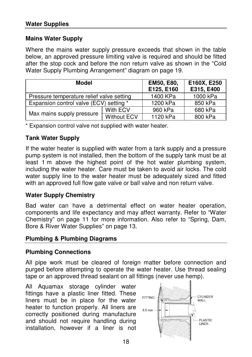## **Mains Water Supply**

Where the mains water supply pressure exceeds that shown in the table below, an approved pressure limiting valve is required and should be fitted after the stop cock and before the non return valve as shown in the "Cold Water Supply Plumbing Arrangement" diagram on page 19.

| Model                                     |                    | EM50, E80,<br>E125, E160 | E160X, E250<br>E315, E400 |
|-------------------------------------------|--------------------|--------------------------|---------------------------|
| Pressure temperature relief valve setting |                    | 1400 KPa                 | 1000 kPa                  |
| Expansion control valve (ECV) setting *   |                    | 1200 kPa                 | 850 kPa                   |
| Max mains supply pressure                 | With ECV           | 960 kPa                  | 680 kPa                   |
|                                           | <b>Without ECV</b> | 1120 kPa                 | 800 kPa                   |

\* Expansion control valve not supplied with water heater.

## **Tank Water Supply**

If the water heater is supplied with water from a tank supply and a pressure pump system is not installed, then the bottom of the supply tank must be at least 1 m above the highest point of the hot water plumbing system, including the water heater. Care must be taken to avoid air locks. The cold water supply line to the water heater must be adequately sized and fitted with an approved full flow gate valve or ball valve and non return valve.

## **Water Supply Chemistry**

Bad water can have a detrimental effect on water heater operation, components and life expectancy and may affect warranty. Refer to "Water Chemistry" on page 11 for more information. Also refer to "Spring, Dam, Bore & River Water Supplies" on page 13.

## **Plumbing & Plumbing Diagrams**

## **Plumbing Connections**

All pipe work must be cleared of foreign matter before connection and purged before attempting to operate the water heater. Use thread sealing tape or an approved thread sealant on all fittings (never use hemp).

All Aquamax storage cylinder water fittings have a plastic liner fitted. These liners must be in place for the water heater to function properly. All liners are correctly positioned during manufacture and should not require handling during installation, however if a liner is not

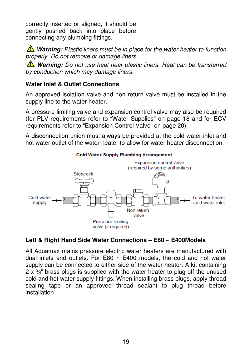correctly inserted or aligned, it should be gently pushed back into place before connecting any plumbing fittings.

*A* Warning: Plastic liners must be in place for the water heater to function properly. Do not remove or damage liners.

*N* Warning: Do not use heat near plastic liners. Heat can be transferred by conduction which may damage liners.

## **Water Inlet & Outlet Connections**

An approved isolation valve and non return valve must be installed in the supply line to the water heater.

A pressure limiting valve and expansion control valve may also be required (for PLV requirements refer to "Water Supplies" on page 18 and for ECV requirements refer to "Expansion Control Valve" on page 20).

A disconnection union must always be provided at the cold water inlet and hot water outlet of the water heater to allow for water heater disconnection.



## **Left & Right Hand Side Water Connections – E80 ~ E400Models**

All Aquamax mains pressure electric water heaters are manufactured with dual inlets and outlets. For E80  $\sim$  E400 models, the cold and hot water supply can be connected to either side of the water heater. A kit containing  $2 \times \frac{3}{4}$ " brass plugs is supplied with the water heater to plug off the unused cold and hot water supply fittings. When installing brass plugs, apply thread sealing tape or an approved thread sealant to plug thread before installation.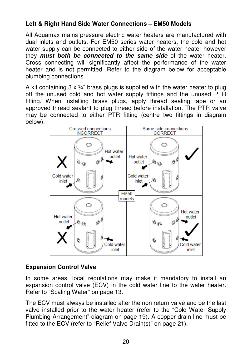## **Left & Right Hand Side Water Connections – EM50 Models**

All Aquamax mains pressure electric water heaters are manufactured with dual inlets and outlets. For EM50 series water heaters, the cold and hot water supply can be connected to either side of the water heater however they **must both be connected to the same side** of the water heater. Cross connecting will significantly affect the performance of the water heater and is not permitted. Refer to the diagram below for acceptable plumbing connections.

A kit containing  $3 \times \frac{3}{4}$  brass plugs is supplied with the water heater to plug off the unused cold and hot water supply fittings and the unused PTR fitting. When installing brass plugs, apply thread sealing tape or an approved thread sealant to plug thread before installation. The PTR valve may be connected to either PTR fitting (centre two fittings in diagram below).



## **Expansion Control Valve**

In some areas, local regulations may make it mandatory to install an expansion control valve (ECV) in the cold water line to the water heater. Refer to "Scaling Water" on page 13.

The ECV must always be installed after the non return valve and be the last valve installed prior to the water heater (refer to the "Cold Water Supply Plumbing Arrangement" diagram on page 19). A copper drain line must be fitted to the ECV (refer to "Relief Valve Drain(s)" on page 21).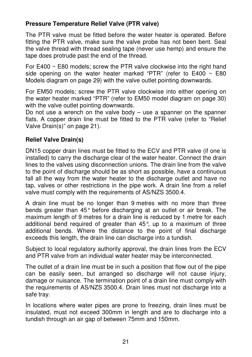## **Pressure Temperature Relief Valve (PTR valve)**

The PTR valve must be fitted before the water heater is operated. Before fitting the PTR valve, make sure the valve probe has not been bent. Seal the valve thread with thread sealing tape (never use hemp) and ensure the tape does protrude past the end of the thread.

For E400 ~ E80 models; screw the PTR valve clockwise into the right hand side opening on the water heater marked "PTR" (refer to  $E400 \sim E80$ Models diagram on page 29) with the valve outlet pointing downwards.

For EM50 models; screw the PTR valve clockwise into either opening on the water heater marked "PTR" (refer to EM50 model diagram on page 30) with the valve outlet pointing downwards.

Do not use a wrench on the valve body  $-$  use a spanner on the spanner flats. A copper drain line must be fitted to the PTR valve (refer to "Relief Valve Drain(s)" on page 21).

## **Relief Valve Drain(s)**

DN15 copper drain lines must be fitted to the ECV and PTR valve (if one is installed) to carry the discharge clear of the water heater. Connect the drain lines to the valves using disconnection unions. The drain line from the valve to the point of discharge should be as short as possible, have a continuous fall all the way from the water heater to the discharge outlet and have no tap, valves or other restrictions in the pipe work. A drain line from a relief valve must comply with the requirements of AS/NZS 3500.4.

A drain line must be no longer than 9 metres with no more than three bends greater than 45° before discharging at an outlet or air break. The maximum length of 9 metres for a drain line is reduced by 1 metre for each additional bend required of greater than 45°, up to a maximum of three additional bends. Where the distance to the point of final discharge exceeds this length, the drain line can discharge into a tundish.

Subject to local regulatory authority approval, the drain lines from the ECV and PTR valve from an individual water heater may be interconnected.

The outlet of a drain line must be in such a position that flow out of the pipe can be easily seen, but arranged so discharge will not cause injury, damage or nuisance. The termination point of a drain line must comply with the requirements of AS/NZS 3500.4. Drain lines must not discharge into a safe tray.

In locations where water pipes are prone to freezing, drain lines must be insulated, must not exceed 300mm in length and are to discharge into a tundish through an air gap of between 75mm and 150mm.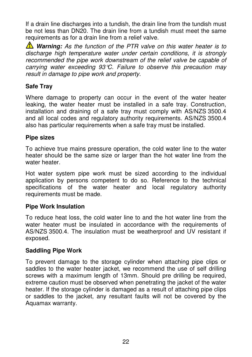If a drain line discharges into a tundish, the drain line from the tundish must be not less than DN20. The drain line from a tundish must meet the same requirements as for a drain line from a relief valve.

**Warning:** As the function of the PTR valve on this water heater is to discharge high temperature water under certain conditions, it is strongly recommended the pipe work downstream of the relief valve be capable of carrying water exceeding  $93^{\circ}C$ . Failure to observe this precaution may result in damage to pipe work and property.

## **Safe Tray**

Where damage to property can occur in the event of the water heater leaking, the water heater must be installed in a safe tray. Construction, installation and draining of a safe tray must comply with AS/NZS 3500.4 and all local codes and regulatory authority requirements. AS/NZS 3500.4 also has particular requirements when a safe tray must be installed.

## **Pipe sizes**

To achieve true mains pressure operation, the cold water line to the water heater should be the same size or larger than the hot water line from the water heater.

Hot water system pipe work must be sized according to the individual application by persons competent to do so. Reference to the technical specifications of the water heater and local regulatory authority requirements must be made.

## **Pipe Work Insulation**

To reduce heat loss, the cold water line to and the hot water line from the water heater must be insulated in accordance with the requirements of AS/NZS 3500.4. The insulation must be weatherproof and UV resistant if exposed.

## **Saddling Pipe Work**

To prevent damage to the storage cylinder when attaching pipe clips or saddles to the water heater jacket, we recommend the use of self drilling screws with a maximum length of 13mm. Should pre drilling be required, extreme caution must be observed when penetrating the jacket of the water heater. If the storage cylinder is damaged as a result of attaching pipe clips or saddles to the jacket, any resultant faults will not be covered by the Aquamax warranty.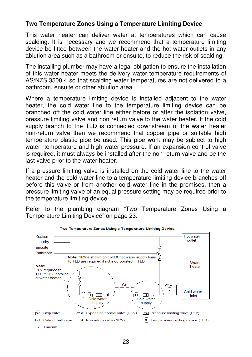## **Two Temperature Zones Using a Temperature Limiting Device**

This water heater can deliver water at temperatures which can cause scalding. It is necessary and we recommend that a temperature limiting device be fitted between the water heater and the hot water outlets in any ablution area such as a bathroom or ensuite, to reduce the risk of scalding.

The installing plumber may have a legal obligation to ensure the installation of this water heater meets the delivery water temperature requirements of AS/NZS 3500.4 so that scalding water temperatures are not delivered to a bathroom, ensuite or other ablution area.

Where a temperature limiting device is installed adjacent to the water heater, the cold water line to the temperature limiting device can be branched off the cold water line either before or after the isolation valve, pressure limiting valve and non return valve to the water heater. If the cold supply branch to the TLD is connected downstream of the water heater non-return valve then we recommend that copper pipe or suitable high temperature plastic pipe be used. This pipe work may be subject to high water temperature and high water pressure. If an expansion control valve is required, it must always be installed after the non return valve and be the last valve prior to the water heater.

If a pressure limiting valve is installed on the cold water line to the water heater and the cold water line to a temperature limiting device branches off before this valve or from another cold water line in the premises, then a pressure limiting valve of an equal pressure setting may be required prior to the temperature limiting device.

Refer to the plumbing diagram "Two Temperature Zones Using a Temperature Limiting Device" on page 23.

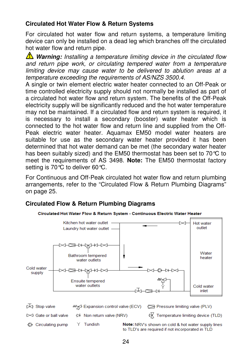## **Circulated Hot Water Flow & Return Systems**

For circulated hot water flow and return systems, a temperature limiting device can only be installed on a dead leg which branches off the circulated hot water flow and return pipe.

**Warning:** Installing a temperature limiting device in the circulated flow and return pipe work, or circulating tempered water from a temperature limiting device may cause water to be delivered to ablution areas at a temperature exceeding the requirements of AS/NZS 3500.4.

A single or twin element electric water heater connected to an Off-Peak or time controlled electricity supply should not normally be installed as part of a circulated hot water flow and return system. The benefits of the Off-Peak electricity supply will be significantly reduced and the hot water temperature may not be maintained. If a circulated flow and return system is required, it is necessary to install a secondary (booster) water heater which is connected to the hot water flow and return line and supplied from the Off-Peak electric water heater. Aquamax EM50 model water heaters are suitable for use as the secondary water heater provided it has been determined that hot water demand can be met (the secondary water heater has been suitably sized) and the EM50 thermostat has been set to 70°C to meet the requirements of AS 3498. **Note:** The EM50 thermostat factory setting is 70℃ to deliver 60℃.

For Continuous and Off-Peak circulated hot water flow and return plumbing arrangements, refer to the "Circulated Flow & Return Plumbing Diagrams" on page 25.

## **Circulated Flow & Return Plumbing Diagrams**

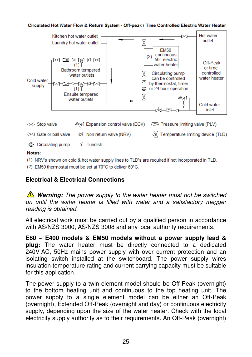#### Circulated Hot Water Flow & Return System - Off-peak / Time Controlled Electric Water Heater



(1) NRV's shown on cold & hot water supply lines to TLD's are required if not incorporated in TLD.

(2) EM50 thermostat must be set at 70°C to deliver 60°C.

#### **Electrical & Electrical Connections**

**Warning:** The power supply to the water heater must not be switched on until the water heater is filled with water and a satisfactory megger reading is obtained.

All electrical work must be carried out by a qualified person in accordance with AS/NZS 3000, AS/NZS 3008 and any local authority requirements.

**E80 ~ E400 models & EM50 models without a power supply lead & plug:** The water heater must be directly connected to a dedicated 240V AC, 50Hz mains power supply with over current protection and an isolating switch installed at the switchboard. The power supply wires insulation temperature rating and current carrying capacity must be suitable for this application.

The power supply to a twin element model should be Off-Peak (overnight) to the bottom heating unit and continuous to the top heating unit. The power supply to a single element model can be either an Off-Peak (overnight), Extended Off-Peak (overnight and day) or continuous electricity supply, depending upon the size of the water heater. Check with the local electricity supply authority as to their requirements. An Off-Peak (overnight)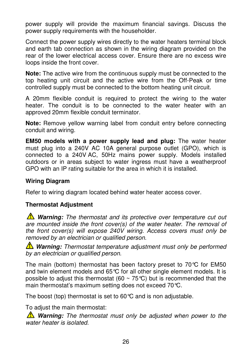power supply will provide the maximum financial savings. Discuss the power supply requirements with the householder.

Connect the power supply wires directly to the water heaters terminal block and earth tab connection as shown in the wiring diagram provided on the rear of the lower electrical access cover. Ensure there are no excess wire loops inside the front cover.

**Note:** The active wire from the continuous supply must be connected to the top heating unit circuit and the active wire from the Off-Peak or time controlled supply must be connected to the bottom heating unit circuit.

A 20mm flexible conduit is required to protect the wiring to the water heater. The conduit is to be connected to the water heater with an approved 20mm flexible conduit terminator.

**Note:** Remove yellow warning label from conduit entry before connecting conduit and wiring.

**EM50 models with a power supply lead and plug:** The water heater must plug into a 240V AC 10A general purpose outlet (GPO), which is connected to a 240V AC, 50Hz mains power supply. Models installed outdoors or in areas subject to water ingress must have a weatherproof GPO with an IP rating suitable for the area in which it is installed.

## **Wiring Diagram**

Refer to wiring diagram located behind water heater access cover.

## **Thermostat Adjustment**

**Warning:** The thermostat and its protective over temperature cut out are mounted inside the front cover(s) of the water heater. The removal of the front cover(s) will expose 240V wiring. Access covers must only be removed by an electrician or qualified person.

**Warning:** Thermostat temperature adjustment must only be performed by an electrician or qualified person.

The main (bottom) thermostat has been factory preset to 70°C for EM50 and twin element models and 65°C for all other single element models. It is possible to adjust this thermostat (60  $\sim$  75 °C) but is recommended that the main thermostat's maximum setting does not exceed 70°C.

The boost (top) thermostat is set to 60°C and is non adjustable.

To adjust the main thermostat:

*N* Warning: The thermostat must only be adjusted when power to the water heater is isolated.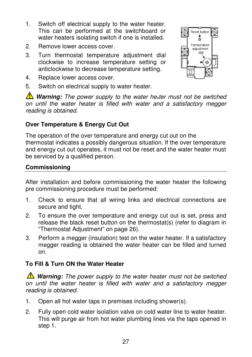- 1. Switch off electrical supply to the water heater. This can be performed at the switchboard or water heaters isolating switch if one is installed.
- 2. Remove lower access cover.
- 3. Turn thermostat temperature adjustment dial clockwise to increase temperature setting or anticlockwise to decrease temperature setting.
- 4. Replace lower access cover.
- 5. Switch on electrical supply to water heater.

*A* Warning: The power supply to the water heater must not be switched on until the water heater is filled with water and a satisfactory megger reading is obtained.

## **Over Temperature & Energy Cut Out**

The operation of the over temperature and energy cut out on the thermostat indicates a possibly dangerous situation. If the over temperature and energy cut out operates, it must not be reset and the water heater must be serviced by a qualified person.

## **Commissioning**

After installation and before commissioning the water heater the following pre commissioning procedure must be performed:

- 1. Check to ensure that all wiring links and electrical connections are secure and tight.
- 2. To ensure the over temperature and energy cut out is set, press and release the black reset button on the thermostat(s) (refer to diagram in "Thermostat Adjustment" on page 26).
- 3. Perform a megger (insulation) test on the water heater. If a satisfactory megger reading is obtained the water heater can be filled and turned on.

## **To Fill & Turn ON the Water Heater**

**Warning:** The power supply to the water heater must not be switched on until the water heater is filled with water and a satisfactory megger reading is obtained.

- 1. Open all hot water taps in premises including shower(s).
- 2. Fully open cold water isolation valve on cold water line to water heater. This will purge air from hot water plumbing lines via the taps opened in step 1.

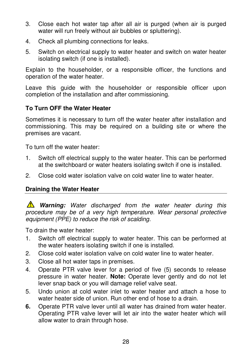- 3. Close each hot water tap after all air is purged (when air is purged water will run freely without air bubbles or spluttering).
- 4. Check all plumbing connections for leaks.
- 5. Switch on electrical supply to water heater and switch on water heater isolating switch (if one is installed).

Explain to the householder, or a responsible officer, the functions and operation of the water heater.

Leave this guide with the householder or responsible officer upon completion of the installation and after commissioning.

## **To Turn OFF the Water Heater**

Sometimes it is necessary to turn off the water heater after installation and commissioning. This may be required on a building site or where the premises are vacant.

To turn off the water heater:

- 1. Switch off electrical supply to the water heater. This can be performed at the switchboard or water heaters isolating switch if one is installed.
- 2. Close cold water isolation valve on cold water line to water heater.

## **Draining the Water Heater**

**A** Warning: Water discharged from the water heater during this procedure may be of a very high temperature. Wear personal protective equipment (PPE) to reduce the risk of scalding.

To drain the water heater:

- 1. Switch off electrical supply to water heater. This can be performed at the water heaters isolating switch if one is installed.
- 2. Close cold water isolation valve on cold water line to water heater.
- 3. Close all hot water taps in premises.
- 4. Operate PTR valve lever for a period of five (5) seconds to release pressure in water heater. **Note:** Operate lever gently and do not let lever snap back or you will damage relief valve seat.
- 5. Undo union at cold water inlet to water heater and attach a hose to water heater side of union. Run other end of hose to a drain.
- **6.** Operate PTR valve lever until all water has drained from water heater. Operating PTR valve lever will let air into the water heater which will allow water to drain through hose.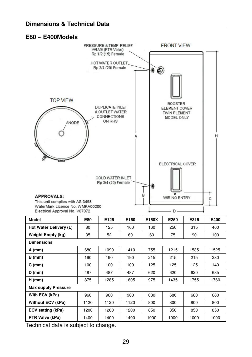#### **E80 ~ E400Models**



Technical data is subject to change.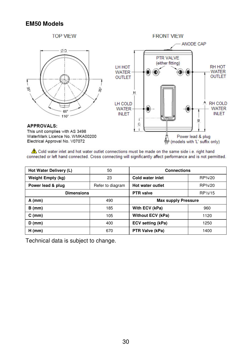#### **EM50 Models**



told water inlet and hot water outlet connections must be made on the same side i.e. right hand connected or left hand connected. Cross connecting will significantly affect performance and is not permitted.

| Hot Water Delivery (L)   | 50               | <b>Connections</b>         |          |
|--------------------------|------------------|----------------------------|----------|
| <b>Weight Empty (kg)</b> | 23               | <b>Cold water inlet</b>    | RP3/4/20 |
| Power lead & plug        | Refer to diagram | Hot water outlet           | RP3/4/20 |
| <b>Dimensions</b>        |                  | <b>PTR</b> valve           | RP1/2/15 |
| $A$ (mm)                 | 490              | <b>Max supply Pressure</b> |          |
| $B$ (mm)                 | 185              | With ECV (kPa)             | 960      |
| $C$ (mm)                 | 105              | <b>Without ECV (kPa)</b>   | 1120     |
| $D$ (mm)                 | 400              | <b>ECV</b> setting (kPa)   | 1250     |
| $H$ (mm)                 | 670              | PTR Valve (kPa)            | 1400     |

Technical data is subject to change.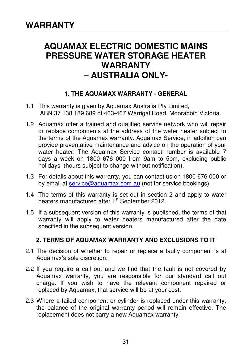## **AQUAMAX ELECTRIC DOMESTIC MAINS PRESSURE WATER STORAGE HEATER WARRANTY – AUSTRALIA ONLY-**

## **1. THE AQUAMAX WARRANTY - GENERAL**

- 1.1 This warranty is given by Aquamax Australia Pty Limited, ABN 37 138 189 689 of 463-467 Warrigal Road, Moorabbin Victoria.
- 1.2 Aquamax offer a trained and qualified service network who will repair or replace components at the address of the water heater subject to the terms of the Aquamax warranty. Aquamax Service, in addition can provide preventative maintenance and advice on the operation of your water heater. The Aquamax Service contact number is available 7 days a week on 1800 676 000 from 9am to 5pm, excluding public holidays (hours subject to change without notification).
- 1.3 For details about this warranty, you can contact us on 1800 676 000 or by email at service@aquamax.com.au (not for service bookings).
- 1.4 The terms of this warranty is set out in section 2 and apply to water heaters manufactured after 1<sup>st</sup> September 2012.
- 1.5 If a subsequent version of this warranty is published, the terms of that warranty will apply to water heaters manufactured after the date specified in the subsequent version.

## **2. TERMS OF AQUAMAX WARRANTY AND EXCLUSIONS TO IT**

- 2.1 The decision of whether to repair or replace a faulty component is at Aquamax's sole discretion.
- 2.2 If you require a call out and we find that the fault is not covered by Aquamax warranty, you are responsible for our standard call out charge. If you wish to have the relevant component repaired or replaced by Aquamax, that service will be at your cost.
- 2.3 Where a failed component or cylinder is replaced under this warranty, the balance of the original warranty period will remain effective. The replacement does not carry a new Aquamax warranty.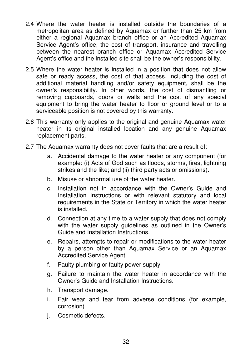- 2.4 Where the water heater is installed outside the boundaries of a metropolitan area as defined by Aquamax or further than 25 km from either a regional Aquamax branch office or an Accredited Aquamax Service Agent's office, the cost of transport, insurance and travelling between the nearest branch office or Aquamax Accredited Service Agent's office and the installed site shall be the owner's responsibility.
- 2.5 Where the water heater is installed in a position that does not allow safe or ready access, the cost of that access, including the cost of additional material handling and/or safety equipment, shall be the owner's responsibility. In other words, the cost of dismantling or removing cupboards, doors or walls and the cost of any special equipment to bring the water heater to floor or ground level or to a serviceable position is not covered by this warranty.
- 2.6 This warranty only applies to the original and genuine Aquamax water heater in its original installed location and any genuine Aquamax replacement parts.
- 2.7 The Aquamax warranty does not cover faults that are a result of:
	- a. Accidental damage to the water heater or any component (for example: (i) Acts of God such as floods, storms, fires, lightning strikes and the like; and (ii) third party acts or omissions).
	- b. Misuse or abnormal use of the water heater.
	- c. Installation not in accordance with the Owner's Guide and Installation Instructions or with relevant statutory and local requirements in the State or Territory in which the water heater is installed.
	- d. Connection at any time to a water supply that does not comply with the water supply guidelines as outlined in the Owner's Guide and Installation Instructions.
	- e. Repairs, attempts to repair or modifications to the water heater by a person other than Aquamax Service or an Aquamax Accredited Service Agent.
	- f. Faulty plumbing or faulty power supply.
	- g. Failure to maintain the water heater in accordance with the Owner's Guide and Installation Instructions.
	- h. Transport damage.
	- i. Fair wear and tear from adverse conditions (for example, corrosion)
	- j. Cosmetic defects.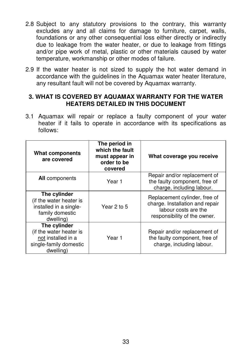- 2.8 Subject to any statutory provisions to the contrary, this warranty excludes any and all claims for damage to furniture, carpet, walls, foundations or any other consequential loss either directly or indirectly due to leakage from the water heater, or due to leakage from fittings and/or pipe work of metal, plastic or other materials caused by water temperature, workmanship or other modes of failure.
- 2.9 If the water heater is not sized to supply the hot water demand in accordance with the quidelines in the Aquamax water heater literature, any resultant fault will not be covered by Aquamax warranty.

#### **3. WHAT IS COVERED BY AQUAMAX WARRANTY FOR THE WATER HEATERS DETAILED IN THIS DOCUMENT**

3.1 Aquamax will repair or replace a faulty component of your water heater if it fails to operate in accordance with its specifications as follows:

| What components<br>are covered                                                                       | The period in<br>which the fault<br>must appear in<br>order to be<br>covered | What coverage you receive                                                                                                |
|------------------------------------------------------------------------------------------------------|------------------------------------------------------------------------------|--------------------------------------------------------------------------------------------------------------------------|
| <b>All</b> components                                                                                | Year 1                                                                       | Repair and/or replacement of<br>the faulty component, free of<br>charge, including labour.                               |
| The cylinder<br>(if the water heater is<br>installed in a single-<br>family domestic<br>dwelling)    | Year 2 to 5                                                                  | Replacement cylinder, free of<br>charge. Installation and repair<br>labour costs are the<br>responsibility of the owner. |
| The cylinder<br>(if the water heater is<br>not installed in a<br>single-family domestic<br>dwelling) | Year 1                                                                       | Repair and/or replacement of<br>the faulty component, free of<br>charge, including labour.                               |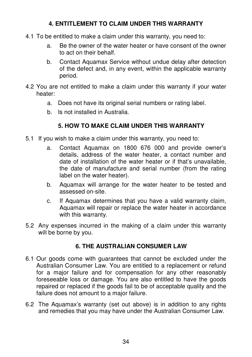## **4. ENTITLEMENT TO CLAIM UNDER THIS WARRANTY**

- 4.1 To be entitled to make a claim under this warranty, you need to:
	- a. Be the owner of the water heater or have consent of the owner to act on their behalf.
	- b. Contact Aquamax Service without undue delay after detection of the defect and, in any event, within the applicable warranty period.
- 4.2 You are not entitled to make a claim under this warranty if your water heater:
	- a. Does not have its original serial numbers or rating label.
	- b. Is not installed in Australia.

## **5. HOW TO MAKE CLAIM UNDER THIS WARRANTY**

- 5.1 If you wish to make a claim under this warranty, you need to:
	- a. Contact Aquamax on 1800 676 000 and provide owner's details, address of the water heater, a contact number and date of installation of the water heater or if that's unavailable, the date of manufacture and serial number (from the rating label on the water heater).
	- b. Aquamax will arrange for the water heater to be tested and assessed on-site.
	- c. If Aquamax determines that you have a valid warranty claim, Aquamax will repair or replace the water heater in accordance with this warranty.
- 5.2 Any expenses incurred in the making of a claim under this warranty will be borne by you.

## **6. THE AUSTRALIAN CONSUMER LAW**

- 6.1 Our goods come with guarantees that cannot be excluded under the Australian Consumer Law. You are entitled to a replacement or refund for a major failure and for compensation for any other reasonably foreseeable loss or damage. You are also entitled to have the goods repaired or replaced if the goods fail to be of acceptable quality and the failure does not amount to a major failure.
- 6.2 The Aquamax's warranty (set out above) is in addition to any rights and remedies that you may have under the Australian Consumer Law.